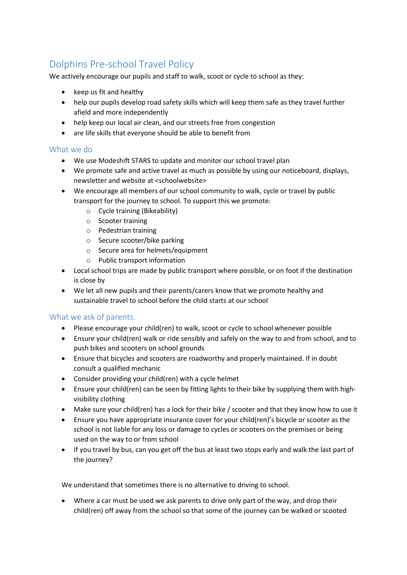## Dolphins Pre-school Travel Policy

We actively encourage our pupils and staff to walk, scoot or cycle to school as they:

- keep us fit and healthy
- help our pupils develop road safety skills which will keep them safe as they travel further afield and more independently
- help keep our local air clean, and our streets free from congestion
- are life skills that everyone should be able to benefit from

## What we do

- We use Modeshift STARS to update and monitor our school travel plan
- We promote safe and active travel as much as possible by using our noticeboard, displays, newsletter and website at <schoolwebsite>
- We encourage all members of our school community to walk, cycle or travel by public transport for the journey to school. To support this we promote:
	- o Cycle training (Bikeability)
	- o Scooter training
	- o Pedestrian training
	- o Secure scooter/bike parking
	- o Secure area for helmets/equipment
	- o Public transport information
- Local school trips are made by public transport where possible, or on foot if the destination is close by
- We let all new pupils and their parents/carers know that we promote healthy and sustainable travel to school before the child starts at our school

## What we ask of parents.

- Please encourage your child(ren) to walk, scoot or cycle to school whenever possible
- Ensure your child(ren) walk or ride sensibly and safely on the way to and from school, and to push bikes and scooters on school grounds
- Ensure that bicycles and scooters are roadworthy and properly maintained. If in doubt consult a qualified mechanic
- Consider providing your child(ren) with a cycle helmet
- Ensure your child(ren) can be seen by fitting lights to their bike by supplying them with highvisibility clothing
- Make sure your child(ren) has a lock for their bike / scooter and that they know how to use it
- Ensure you have appropriate insurance cover for your child(ren)'s bicycle or scooter as the school is not liable for any loss or damage to cycles or scooters on the premises or being used on the way to or from school
- If you travel by bus, can you get off the bus at least two stops early and walk the last part of the journey?

We understand that sometimes there is no alternative to driving to school.

• Where a car must be used we ask parents to drive only part of the way, and drop their child(ren) off away from the school so that some of the journey can be walked or scooted